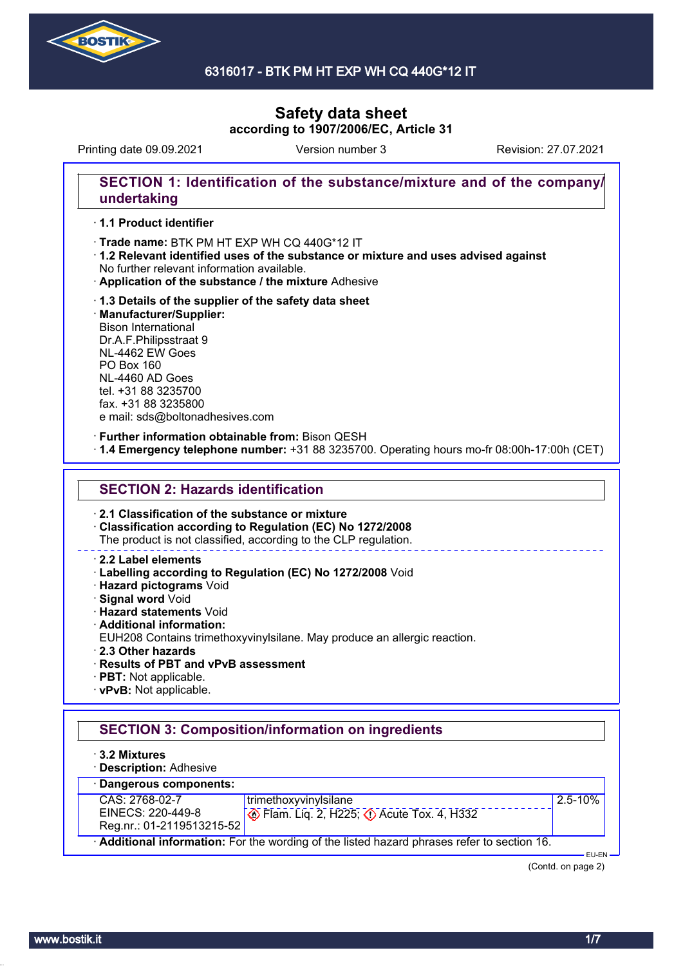

### 6316017 - BTK PM HT EXP WH CQ 440G\*12 IT

# **Safety data sheet according to 1907/2006/EC, Article 31**

Printing date 09.09.2021 Revision: 27.07.2021 Version number 3

## **SECTION 1: Identification of the substance/mixture and of the company/ undertaking**

#### · **1.1 Product identifier**

· Trade name: BTK PM HT EXP WH CQ 440G\*12 IT

- · **1.2 Relevant identified uses of the substance or mixture and uses advised against** No further relevant information available.
- · **Application of the substance / the mixture** Adhesive
- · **1.3 Details of the supplier of the safety data sheet** · **Manufacturer/Supplier:** Bison International Dr.A.F.Philipsstraat 9 NL-4462 EW Goes PO Box 160 NL-4460 AD Goes tel. +31 88 3235700 fax. +31 88 3235800 e mail: sds@boltonadhesives.com

#### · **Further information obtainable from:** Bison QESH

· **1.4 Emergency telephone number:** +31 88 3235700. Operating hours mo-fr 08:00h-17:00h (CET)

### **SECTION 2: Hazards identification**

· **2.1 Classification of the substance or mixture**

· **Classification according to Regulation (EC) No 1272/2008**

The product is not classified, according to the CLP regulation.

#### · **2.2 Label elements**

- · **Labelling according to Regulation (EC) No 1272/2008** Void
- · **Hazard pictograms** Void
- · **Signal word** Void
- · **Hazard statements** Void
- · **Additional information:**
- EUH208 Contains trimethoxyvinylsilane. May produce an allergic reaction.
- · **2.3 Other hazards**
- · **Results of PBT and vPvB assessment**
- · **PBT:** Not applicable.
- · **vPvB:** Not applicable.

# **SECTION 3: Composition/information on ingredients**

- · **3.2 Mixtures**
- · **Description:** Adhesive



(Contd. on page 2)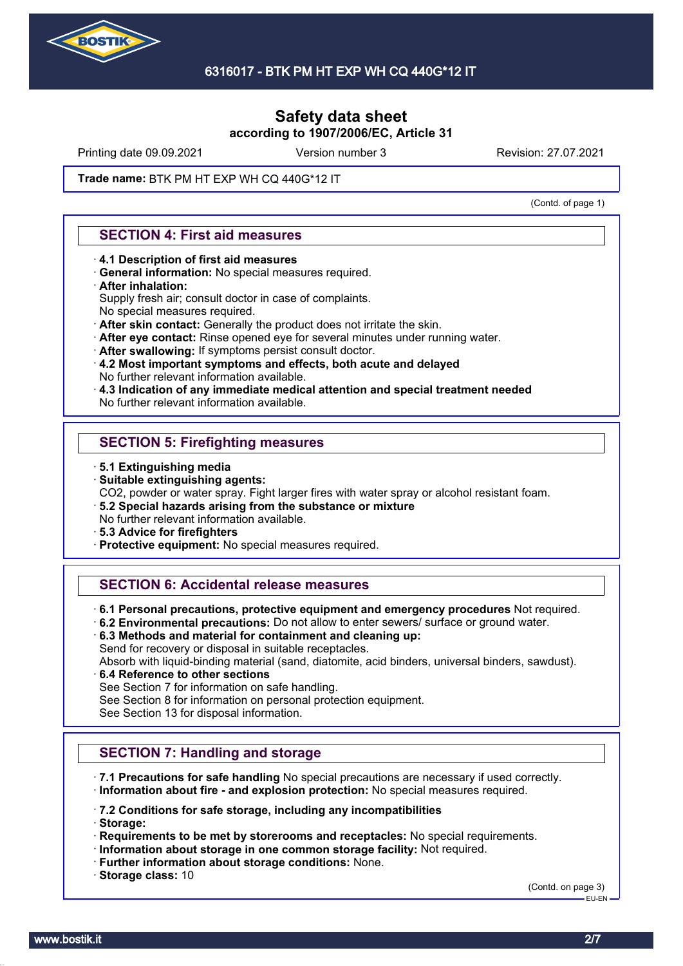

Printing date 09.09.2021 Version number 3 Revision: 27.07.2021

#### **Trade name: BTK PM HT EXP WH CQ 440G\*12 IT**

(Contd. of page 1)

### **SECTION 4: First aid measures**

- · **4.1 Description of first aid measures**
- · **General information:** No special measures required.

#### · **After inhalation:**

- Supply fresh air; consult doctor in case of complaints.
- No special measures required.
- · **After skin contact:** Generally the product does not irritate the skin.
- · **After eye contact:** Rinse opened eye for several minutes under running water.
- · **After swallowing:** If symptoms persist consult doctor.
- · **4.2 Most important symptoms and effects, both acute and delayed** No further relevant information available.
- · **4.3 Indication of any immediate medical attention and special treatment needed**
- No further relevant information available.

### **SECTION 5: Firefighting measures**

- · **5.1 Extinguishing media**
- · **Suitable extinguishing agents:**
- CO2, powder or water spray. Fight larger fires with water spray or alcohol resistant foam.
- · **5.2 Special hazards arising from the substance or mixture** No further relevant information available.
- · **5.3 Advice for firefighters**
- · **Protective equipment:** No special measures required.

### **SECTION 6: Accidental release measures**

- · **6.1 Personal precautions, protective equipment and emergency procedures** Not required.
- · **6.2 Environmental precautions:** Do not allow to enter sewers/ surface or ground water.
- · **6.3 Methods and material for containment and cleaning up:**
- Send for recovery or disposal in suitable receptacles.
- Absorb with liquid-binding material (sand, diatomite, acid binders, universal binders, sawdust).
- · **6.4 Reference to other sections**
- See Section 7 for information on safe handling.
- See Section 8 for information on personal protection equipment.

See Section 13 for disposal information.

### **SECTION 7: Handling and storage**

· **7.1 Precautions for safe handling** No special precautions are necessary if used correctly. · **Information about fire - and explosion protection:** No special measures required.

· **7.2 Conditions for safe storage, including any incompatibilities**

· **Storage:**

- · **Requirements to be met by storerooms and receptacles:** No special requirements.
- · **Information about storage in one common storage facility:** Not required.
- · **Further information about storage conditions:** None.
- · **Storage class:** 10

(Contd. on page 3) EU-EN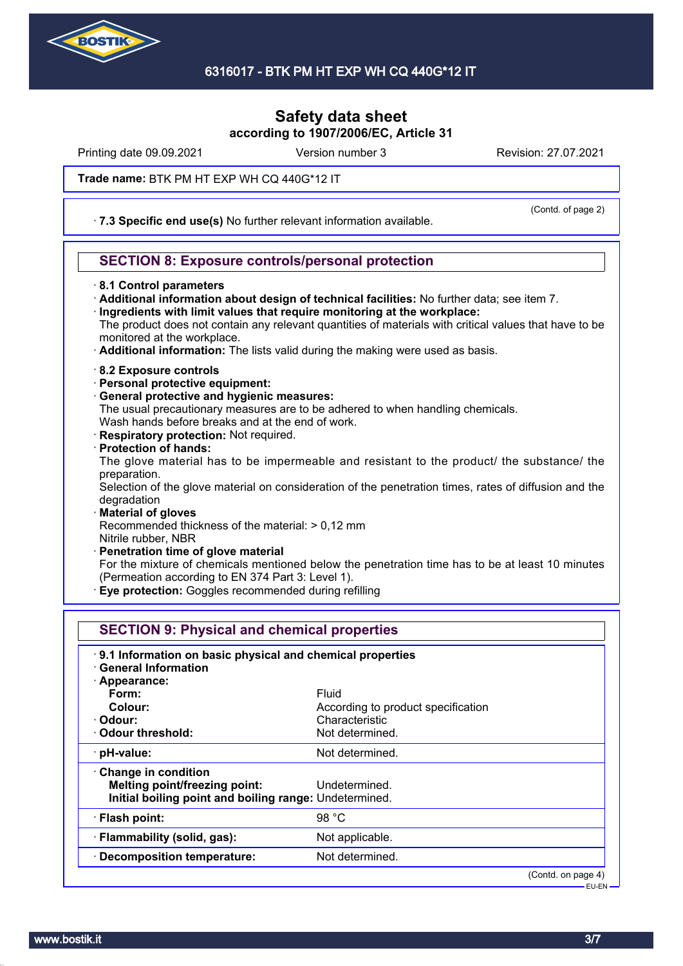

Printing date 09.09.2021 Version number 3 Revision: 27.07.2021

(Contd. of page 2)

**Trade name: BTK PM HT EXP WH CQ 440G\*12 IT** 

· **7.3 Specific end use(s)** No further relevant information available.

# **SECTION 8: Exposure controls/personal protection**

- · **8.1 Control parameters**
- · **Additional information about design of technical facilities:** No further data; see item 7.
- · **Ingredients with limit values that require monitoring at the workplace:**

The product does not contain any relevant quantities of materials with critical values that have to be monitored at the workplace.

- · **Additional information:** The lists valid during the making were used as basis.
- · **8.2 Exposure controls**
- · **Personal protective equipment:**
- · **General protective and hygienic measures:**
- The usual precautionary measures are to be adhered to when handling chemicals.

Wash hands before breaks and at the end of work.

- · **Respiratory protection:** Not required.
- · **Protection of hands:**

The glove material has to be impermeable and resistant to the product/ the substance/ the preparation.

Selection of the glove material on consideration of the penetration times, rates of diffusion and the degradation

· **Material of gloves**

Recommended thickness of the material: > 0,12 mm Nitrile rubber, NBR

· **Penetration time of glove material**

For the mixture of chemicals mentioned below the penetration time has to be at least 10 minutes (Permeation according to EN 374 Part 3: Level 1).

**Eye protection:** Goggles recommended during refilling

| <b>SECTION 9: Physical and chemical properties</b>                                                             |                                             |                      |  |
|----------------------------------------------------------------------------------------------------------------|---------------------------------------------|----------------------|--|
| 9.1 Information on basic physical and chemical properties<br>· General Information                             |                                             |                      |  |
| · Appearance:<br>Form:<br>Colour:                                                                              | Fluid<br>According to product specification |                      |  |
| · Odour:<br>Odour threshold:                                                                                   | Characteristic<br>Not determined.           |                      |  |
| · pH-value:                                                                                                    | Not determined.                             |                      |  |
| Change in condition<br>Melting point/freezing point:<br>Initial boiling point and boiling range: Undetermined. | Undetermined.                               |                      |  |
| · Flash point:                                                                                                 | 98 $°C$                                     |                      |  |
| · Flammability (solid, gas):                                                                                   | Not applicable.                             |                      |  |
| · Decomposition temperature:                                                                                   | Not determined.                             |                      |  |
|                                                                                                                |                                             | $(Contd.$ on page 4) |  |

EU-EN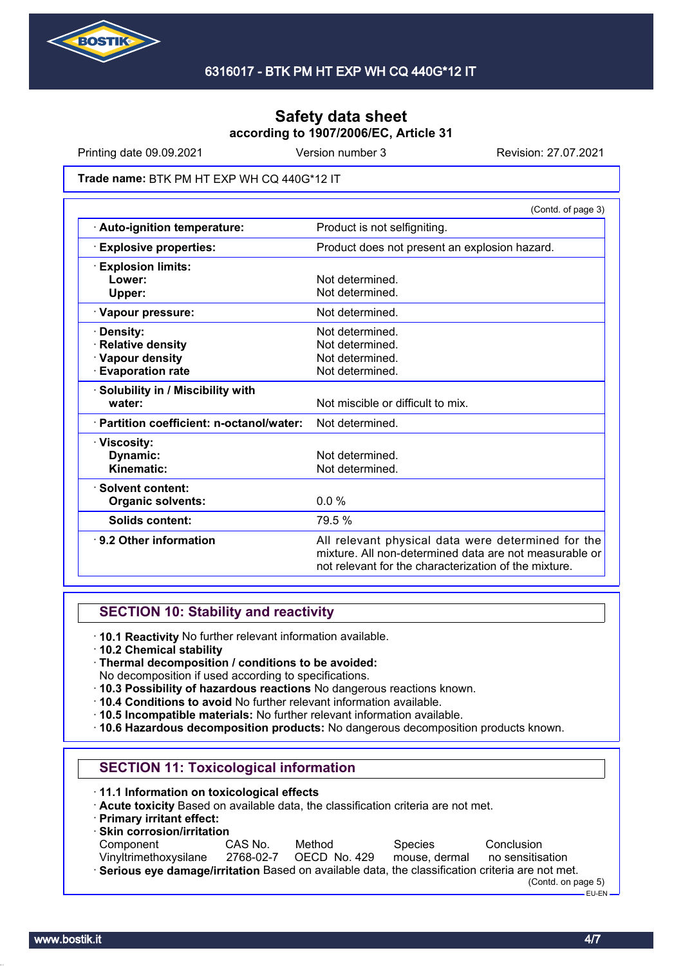

Printing date 09.09.2021 Version number 3 Revision: 27.07.2021

#### **Trade name: BTK PM HT EXP WH CQ 440G\*12 IT**

|                                           | (Contd. of page 3)                                                                                                                                                    |  |  |
|-------------------------------------------|-----------------------------------------------------------------------------------------------------------------------------------------------------------------------|--|--|
| · Auto-ignition temperature:              | Product is not selfigniting.                                                                                                                                          |  |  |
| <b>Explosive properties:</b>              | Product does not present an explosion hazard.                                                                                                                         |  |  |
| <b>Explosion limits:</b>                  |                                                                                                                                                                       |  |  |
| Lower:                                    | Not determined.                                                                                                                                                       |  |  |
| Upper:                                    | Not determined.                                                                                                                                                       |  |  |
| · Vapour pressure:                        | Not determined.                                                                                                                                                       |  |  |
| <b>Density:</b>                           | Not determined.                                                                                                                                                       |  |  |
| <b>Relative density</b>                   | Not determined.                                                                                                                                                       |  |  |
| · Vapour density                          | Not determined.                                                                                                                                                       |  |  |
| <b>Evaporation rate</b>                   | Not determined.                                                                                                                                                       |  |  |
| · Solubility in / Miscibility with        |                                                                                                                                                                       |  |  |
| water:                                    | Not miscible or difficult to mix.                                                                                                                                     |  |  |
| · Partition coefficient: n-octanol/water: | Not determined.                                                                                                                                                       |  |  |
| · Viscosity:                              |                                                                                                                                                                       |  |  |
| Dynamic:                                  | Not determined.                                                                                                                                                       |  |  |
| Kinematic:                                | Not determined.                                                                                                                                                       |  |  |
| · Solvent content:                        |                                                                                                                                                                       |  |  |
| <b>Organic solvents:</b>                  | $0.0 \%$                                                                                                                                                              |  |  |
| Solids content:                           | 79.5 %                                                                                                                                                                |  |  |
| ⋅ 9.2 Other information                   | All relevant physical data were determined for the<br>mixture. All non-determined data are not measurable or<br>not relevant for the characterization of the mixture. |  |  |

### **SECTION 10: Stability and reactivity**

- · **10.1 Reactivity** No further relevant information available.
- · **10.2 Chemical stability**
- · **Thermal decomposition / conditions to be avoided:**
- No decomposition if used according to specifications.
- · **10.3 Possibility of hazardous reactions** No dangerous reactions known.
- · **10.4 Conditions to avoid** No further relevant information available.
- · **10.5 Incompatible materials:** No further relevant information available.
- · **10.6 Hazardous decomposition products:** No dangerous decomposition products known.

### **SECTION 11: Toxicological information**

- · **11.1 Information on toxicological effects**
- · **Acute toxicity** Based on available data, the classification criteria are not met.
- · **Primary irritant effect:**

| $\cdot$ Skin corrosion/irritation                                                                 |           |              |                |                    |
|---------------------------------------------------------------------------------------------------|-----------|--------------|----------------|--------------------|
| Component                                                                                         | CAS No.   | Method       | <b>Species</b> | Conclusion         |
| Vinvltrimethoxysilane                                                                             | 2768-02-7 | OECD No. 429 | mouse, dermal  | no sensitisation   |
| · Serious eye damage/irritation Based on available data, the classification criteria are not met. |           |              |                |                    |
|                                                                                                   |           |              |                | (Contd. on page 5) |

EU-EN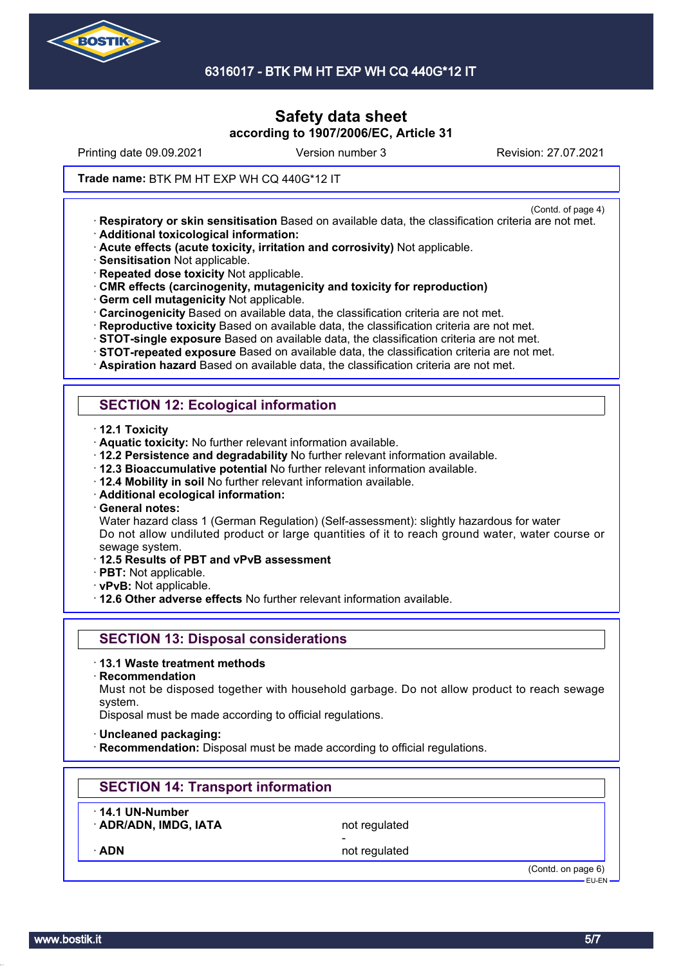

Printing date 09.09.2021 Version number 3 Revision: 27.07.2021

(Contd. of page 4)

#### **Trade name: BTK PM HT EXP WH CQ 440G\*12 IT**

· **Respiratory or skin sensitisation** Based on available data, the classification criteria are not met. · **Additional toxicological information:**

- · **Acute effects (acute toxicity, irritation and corrosivity)** Not applicable.
- · **Sensitisation** Not applicable.

· **Repeated dose toxicity** Not applicable.

- · **CMR effects (carcinogenity, mutagenicity and toxicity for reproduction)**
- · **Germ cell mutagenicity** Not applicable.
- · **Carcinogenicity** Based on available data, the classification criteria are not met.
- · **Reproductive toxicity** Based on available data, the classification criteria are not met.
- · **STOT-single exposure** Based on available data, the classification criteria are not met.
- · **STOT-repeated exposure** Based on available data, the classification criteria are not met.
- · **Aspiration hazard** Based on available data, the classification criteria are not met.

## **SECTION 12: Ecological information**

- · **12.1 Toxicity**
- · **Aquatic toxicity:** No further relevant information available.
- · **12.2 Persistence and degradability** No further relevant information available.
- · **12.3 Bioaccumulative potential** No further relevant information available.
- · **12.4 Mobility in soil** No further relevant information available.
- · **Additional ecological information:**
- · **General notes:**

Water hazard class 1 (German Regulation) (Self-assessment): slightly hazardous for water Do not allow undiluted product or large quantities of it to reach ground water, water course or sewage system.

- · **12.5 Results of PBT and vPvB assessment**
- · **PBT:** Not applicable.
- · **vPvB:** Not applicable.
- · **12.6 Other adverse effects** No further relevant information available.

### **SECTION 13: Disposal considerations**

- · **13.1 Waste treatment methods**
- · **Recommendation**

Must not be disposed together with household garbage. Do not allow product to reach sewage system.

Disposal must be made according to official regulations.

- · **Uncleaned packaging:**
- **Recommendation:** Disposal must be made according to official regulations.

# **SECTION 14: Transport information**

· **14.1 UN-Number**

ADR/ADN, IMDG, IATA not regulated

-

ADN **ADN** not regulated

(Contd. on page 6) EU-EN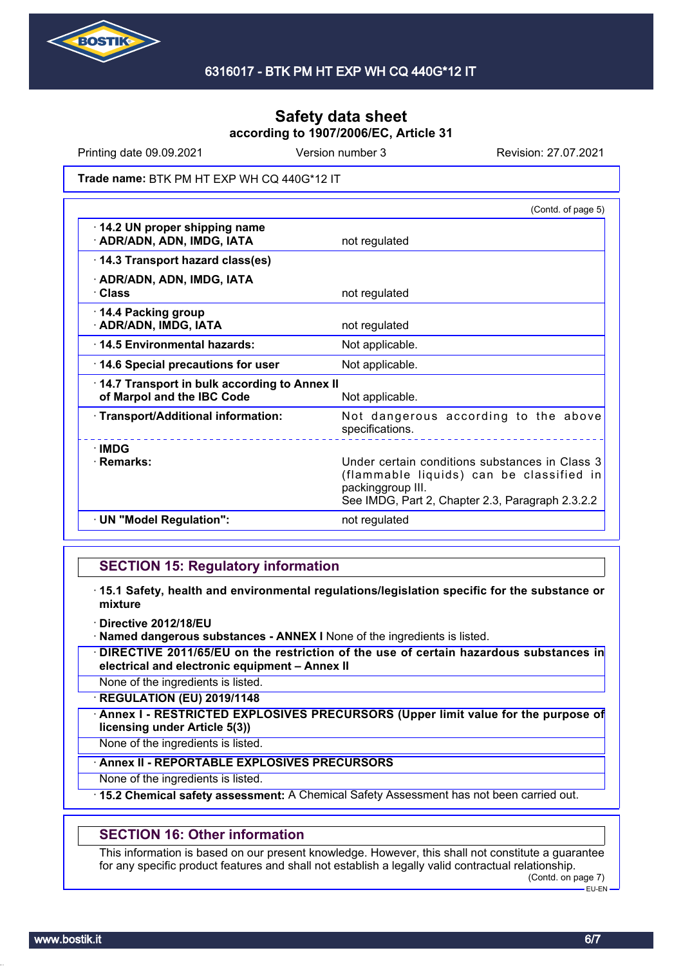

Printing date 09.09.2021 Version number 3 Revision: 27.07.2021

#### **Trade name: BTK PM HT EXP WH CQ 440G\*12 IT**

|                                                                            | (Contd. of page 5)                                                                                                                                                  |
|----------------------------------------------------------------------------|---------------------------------------------------------------------------------------------------------------------------------------------------------------------|
| 14.2 UN proper shipping name<br>· ADR/ADN, ADN, IMDG, IATA                 | not regulated                                                                                                                                                       |
| 14.3 Transport hazard class(es)                                            |                                                                                                                                                                     |
| · ADR/ADN, ADN, IMDG, IATA<br>· Class                                      | not regulated                                                                                                                                                       |
| 14.4 Packing group<br>· ADR/ADN, IMDG, IATA                                | not regulated                                                                                                                                                       |
| 14.5 Environmental hazards:                                                | Not applicable.                                                                                                                                                     |
| 14.6 Special precautions for user                                          | Not applicable.                                                                                                                                                     |
| 14.7 Transport in bulk according to Annex II<br>of Marpol and the IBC Code | Not applicable.                                                                                                                                                     |
| · Transport/Additional information:                                        | Not dangerous according to the above<br>specifications.                                                                                                             |
| $\cdot$ IMDG<br>· Remarks:                                                 | Under certain conditions substances in Class 3<br>(flammable liquids) can be classified in<br>packinggroup III.<br>See IMDG, Part 2, Chapter 2.3, Paragraph 2.3.2.2 |
| · UN "Model Regulation":                                                   | not regulated                                                                                                                                                       |

### **SECTION 15: Regulatory information**

- · **15.1 Safety, health and environmental regulations/legislation specific for the substance or mixture**
- · **Directive 2012/18/EU**
- · **Named dangerous substances ANNEX I** None of the ingredients is listed.
- · **DIRECTIVE 2011/65/EU on the restriction of the use of certain hazardous substances in electrical and electronic equipment – Annex II**

None of the ingredients is listed.

· **REGULATION (EU) 2019/1148**

· **Annex I - RESTRICTED EXPLOSIVES PRECURSORS (Upper limit value for the purpose of licensing under Article 5(3))**

None of the ingredients is listed.

#### · **Annex II - REPORTABLE EXPLOSIVES PRECURSORS**

None of the ingredients is listed.

· **15.2 Chemical safety assessment:** A Chemical Safety Assessment has not been carried out.

### **SECTION 16: Other information**

This information is based on our present knowledge. However, this shall not constitute a guarantee for any specific product features and shall not establish a legally valid contractual relationship.

(Contd. on page 7) EU-EN